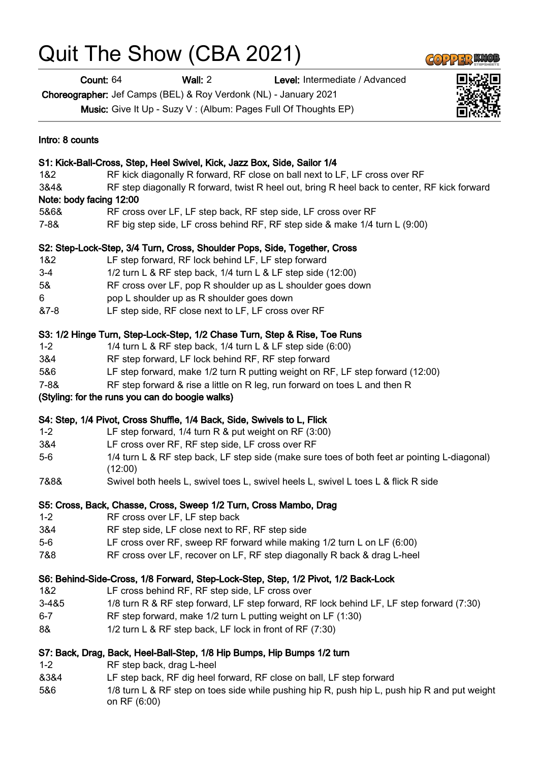## Quit The Show (CBA 2021)

Count: 64 Wall: 2 Level: Intermediate / Advanced

Choreographer: Jef Camps (BEL) & Roy Verdonk (NL) - January 2021

Music: Give It Up - Suzy V : (Album: Pages Full Of Thoughts EP)

| Intro: 8 counts                                                          |                                                                                                              |
|--------------------------------------------------------------------------|--------------------------------------------------------------------------------------------------------------|
| S1: Kick-Ball-Cross, Step, Heel Swivel, Kick, Jazz Box, Side, Sailor 1/4 |                                                                                                              |
| 1&2                                                                      | RF kick diagonally R forward, RF close on ball next to LF, LF cross over RF                                  |
| 3&4&                                                                     | RF step diagonally R forward, twist R heel out, bring R heel back to center, RF kick forward                 |
|                                                                          | Note: body facing 12:00                                                                                      |
| 5&6&                                                                     | RF cross over LF, LF step back, RF step side, LF cross over RF                                               |
| 7-8&                                                                     | RF big step side, LF cross behind RF, RF step side & make 1/4 turn L (9:00)                                  |
|                                                                          | S2: Step-Lock-Step, 3/4 Turn, Cross, Shoulder Pops, Side, Together, Cross                                    |
| 1&2                                                                      | LF step forward, RF lock behind LF, LF step forward                                                          |
| $3-4$                                                                    | 1/2 turn L & RF step back, 1/4 turn L & LF step side (12:00)                                                 |
| 5&                                                                       | RF cross over LF, pop R shoulder up as L shoulder goes down                                                  |
| 6                                                                        | pop L shoulder up as R shoulder goes down                                                                    |
| $87 - 8$                                                                 | LF step side, RF close next to LF, LF cross over RF                                                          |
|                                                                          | S3: 1/2 Hinge Turn, Step-Lock-Step, 1/2 Chase Turn, Step & Rise, Toe Runs                                    |
| $1 - 2$                                                                  | 1/4 turn L & RF step back, 1/4 turn L & LF step side (6:00)                                                  |
| 3&4                                                                      | RF step forward, LF lock behind RF, RF step forward                                                          |
| 5&6                                                                      | LF step forward, make 1/2 turn R putting weight on RF, LF step forward (12:00)                               |
| $7 - 88$                                                                 | RF step forward & rise a little on R leg, run forward on toes L and then R                                   |
|                                                                          | (Styling: for the runs you can do boogie walks)                                                              |
|                                                                          | S4: Step, 1/4 Pivot, Cross Shuffle, 1/4 Back, Side, Swivels to L, Flick                                      |
| $1 - 2$                                                                  | LF step forward, 1/4 turn R & put weight on RF (3:00)                                                        |
| 3&4                                                                      | LF cross over RF, RF step side, LF cross over RF                                                             |
| $5-6$                                                                    | 1/4 turn L & RF step back, LF step side (make sure toes of both feet ar pointing L-diagonal)<br>(12:00)      |
| 7&8&                                                                     | Swivel both heels L, swivel toes L, swivel heels L, swivel L toes L & flick R side                           |
|                                                                          | S5: Cross, Back, Chasse, Cross, Sweep 1/2 Turn, Cross Mambo, Drag                                            |
| $1 - 2$                                                                  | RF cross over LF, LF step back                                                                               |
| 3&4                                                                      | RF step side, LF close next to RF, RF step side                                                              |
| $5-6$                                                                    | LF cross over RF, sweep RF forward while making 1/2 turn L on LF (6:00)                                      |
| 7&8                                                                      | RF cross over LF, recover on LF, RF step diagonally R back & drag L-heel                                     |
|                                                                          | S6: Behind-Side-Cross, 1/8 Forward, Step-Lock-Step, Step, 1/2 Pivot, 1/2 Back-Lock                           |
| 1&2                                                                      | LF cross behind RF, RF step side, LF cross over                                                              |
| 3-4&5                                                                    | 1/8 turn R & RF step forward, LF step forward, RF lock behind LF, LF step forward (7:30)                     |
| $6 - 7$                                                                  | RF step forward, make 1/2 turn L putting weight on LF (1:30)                                                 |
| 8&                                                                       | 1/2 turn L & RF step back, LF lock in front of RF (7:30)                                                     |
|                                                                          | S7: Back, Drag, Back, Heel-Ball-Step, 1/8 Hip Bumps, Hip Bumps 1/2 turn                                      |
| $1 - 2$                                                                  | RF step back, drag L-heel                                                                                    |
| 8384                                                                     | LF step back, RF dig heel forward, RF close on ball, LF step forward                                         |
| 5&6                                                                      | 1/8 turn L & RF step on toes side while pushing hip R, push hip L, push hip R and put weight<br>on RF (6:00) |